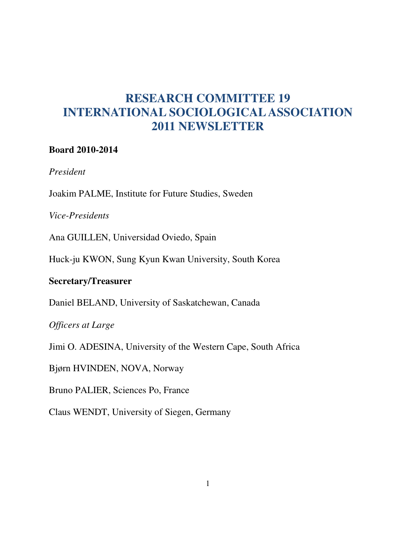# **RESEARCH COMMITTEE 19 INTERNATIONAL SOCIOLOGICAL ASSOCIATION 2011 NEWSLETTER**

#### **Board 2010-2014**

*President* 

Joakim PALME, Institute for Future Studies, Sweden

*Vice-Presidents* 

Ana GUILLEN, Universidad Oviedo, Spain

Huck-ju KWON, Sung Kyun Kwan University, South Korea

### **Secretary/Treasurer**

Daniel BELAND, University of Saskatchewan, Canada

*Officers at Large* 

Jimi O. ADESINA, University of the Western Cape, South Africa

Bjørn HVINDEN, NOVA, Norway

Bruno PALIER, Sciences Po, France

Claus WENDT, University of Siegen, Germany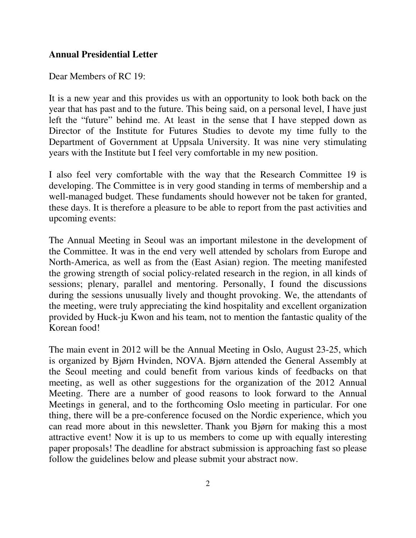#### **Annual Presidential Letter**

Dear Members of RC 19:

It is a new year and this provides us with an opportunity to look both back on the year that has past and to the future. This being said, on a personal level, I have just left the "future" behind me. At least in the sense that I have stepped down as Director of the Institute for Futures Studies to devote my time fully to the Department of Government at Uppsala University. It was nine very stimulating years with the Institute but I feel very comfortable in my new position.

I also feel very comfortable with the way that the Research Committee 19 is developing. The Committee is in very good standing in terms of membership and a well-managed budget. These fundaments should however not be taken for granted, these days. It is therefore a pleasure to be able to report from the past activities and upcoming events:

The Annual Meeting in Seoul was an important milestone in the development of the Committee. It was in the end very well attended by scholars from Europe and North-America, as well as from the (East Asian) region. The meeting manifested the growing strength of social policy-related research in the region, in all kinds of sessions; plenary, parallel and mentoring. Personally, I found the discussions during the sessions unusually lively and thought provoking. We, the attendants of the meeting, were truly appreciating the kind hospitality and excellent organization provided by Huck-ju Kwon and his team, not to mention the fantastic quality of the Korean food!

The main event in 2012 will be the Annual Meeting in Oslo, August 23-25, which is organized by Bjørn Hvinden, NOVA. Bjørn attended the General Assembly at the Seoul meeting and could benefit from various kinds of feedbacks on that meeting, as well as other suggestions for the organization of the 2012 Annual Meeting. There are a number of good reasons to look forward to the Annual Meetings in general, and to the forthcoming Oslo meeting in particular. For one thing, there will be a pre-conference focused on the Nordic experience, which you can read more about in this newsletter. Thank you Bjørn for making this a most attractive event! Now it is up to us members to come up with equally interesting paper proposals! The deadline for abstract submission is approaching fast so please follow the guidelines below and please submit your abstract now.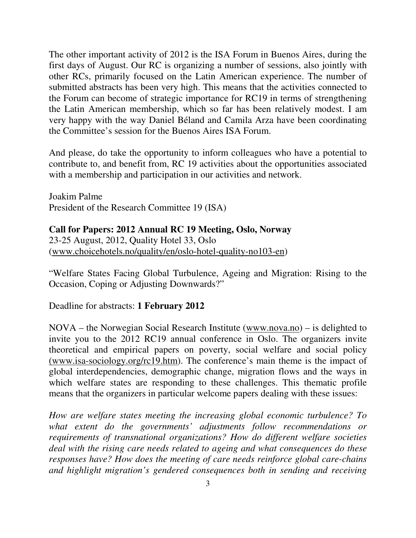The other important activity of 2012 is the ISA Forum in Buenos Aires, during the first days of August. Our RC is organizing a number of sessions, also jointly with other RCs, primarily focused on the Latin American experience. The number of submitted abstracts has been very high. This means that the activities connected to the Forum can become of strategic importance for RC19 in terms of strengthening the Latin American membership, which so far has been relatively modest. I am very happy with the way Daniel Béland and Camila Arza have been coordinating the Committee's session for the Buenos Aires ISA Forum.

And please, do take the opportunity to inform colleagues who have a potential to contribute to, and benefit from, RC 19 activities about the opportunities associated with a membership and participation in our activities and network.

Joakim Palme President of the Research Committee 19 (ISA)

#### **Call for Papers: 2012 Annual RC 19 Meeting, Oslo, Norway**

23-25 August, 2012, Quality Hotel 33, Oslo (www.choicehotels.no/quality/en/oslo-hotel-quality-no103-en)

"Welfare States Facing Global Turbulence, Ageing and Migration: Rising to the Occasion, Coping or Adjusting Downwards?"

Deadline for abstracts: **1 February 2012**

NOVA – the Norwegian Social Research Institute (www.nova.no) – is delighted to invite you to the 2012 RC19 annual conference in Oslo. The organizers invite theoretical and empirical papers on poverty, social welfare and social policy (www.isa-sociology.org/rc19.htm). The conference's main theme is the impact of global interdependencies, demographic change, migration flows and the ways in which welfare states are responding to these challenges. This thematic profile means that the organizers in particular welcome papers dealing with these issues:

*How are welfare states meeting the increasing global economic turbulence? To what extent do the governments' adjustments follow recommendations or requirements of transnational organizations? How do different welfare societies deal with the rising care needs related to ageing and what consequences do these responses have? How does the meeting of care needs reinforce global care-chains and highlight migration's gendered consequences both in sending and receiving*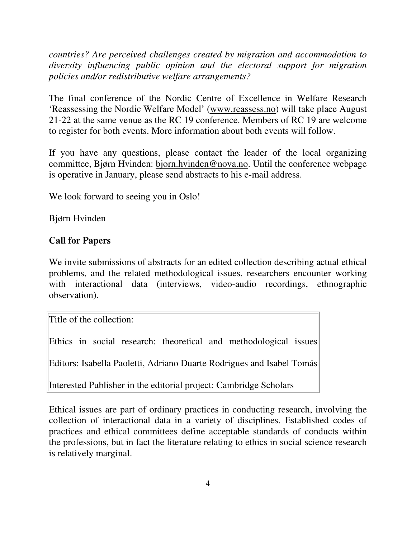*countries? Are perceived challenges created by migration and accommodation to diversity influencing public opinion and the electoral support for migration policies and/or redistributive welfare arrangements?* 

The final conference of the Nordic Centre of Excellence in Welfare Research 'Reassessing the Nordic Welfare Model' (www.reassess.no) will take place August 21-22 at the same venue as the RC 19 conference. Members of RC 19 are welcome to register for both events. More information about both events will follow.

If you have any questions, please contact the leader of the local organizing committee, Bjørn Hvinden: bjorn.hvinden@nova.no. Until the conference webpage is operative in January, please send abstracts to his e-mail address.

We look forward to seeing you in Oslo!

Bjørn Hvinden

# **Call for Papers**

We invite submissions of abstracts for an edited collection describing actual ethical problems, and the related methodological issues, researchers encounter working with interactional data (interviews, video-audio recordings, ethnographic observation).

Title of the collection:

Ethics in social research: theoretical and methodological issues

Editors: Isabella Paoletti, Adriano Duarte Rodrigues and Isabel Tomás

Interested Publisher in the editorial project: Cambridge Scholars

Ethical issues are part of ordinary practices in conducting research, involving the collection of interactional data in a variety of disciplines. Established codes of practices and ethical committees define acceptable standards of conducts within the professions, but in fact the literature relating to ethics in social science research is relatively marginal.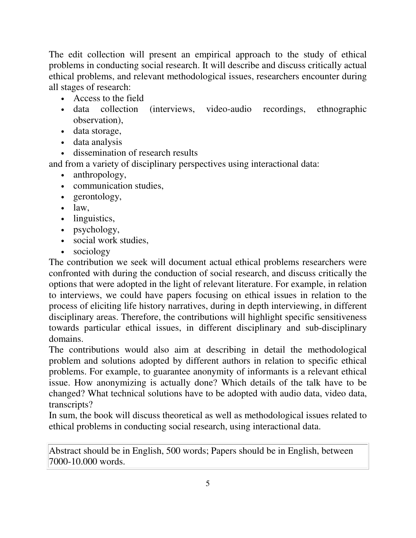The edit collection will present an empirical approach to the study of ethical problems in conducting social research. It will describe and discuss critically actual ethical problems, and relevant methodological issues, researchers encounter during all stages of research:

- Access to the field
- data collection (interviews, video-audio recordings, ethnographic observation),
- data storage,
- data analysis
- dissemination of research results

and from a variety of disciplinary perspectives using interactional data:

- anthropology,
- communication studies,
- gerontology,
- $\bullet$  law,
- linguistics,
- psychology,
- social work studies,
- sociology

The contribution we seek will document actual ethical problems researchers were confronted with during the conduction of social research, and discuss critically the options that were adopted in the light of relevant literature. For example, in relation to interviews, we could have papers focusing on ethical issues in relation to the process of eliciting life history narratives, during in depth interviewing, in different disciplinary areas. Therefore, the contributions will highlight specific sensitiveness towards particular ethical issues, in different disciplinary and sub-disciplinary domains.

The contributions would also aim at describing in detail the methodological problem and solutions adopted by different authors in relation to specific ethical problems. For example, to guarantee anonymity of informants is a relevant ethical issue. How anonymizing is actually done? Which details of the talk have to be changed? What technical solutions have to be adopted with audio data, video data, transcripts?

In sum, the book will discuss theoretical as well as methodological issues related to ethical problems in conducting social research, using interactional data.

Abstract should be in English, 500 words; Papers should be in English, between 7000-10.000 words.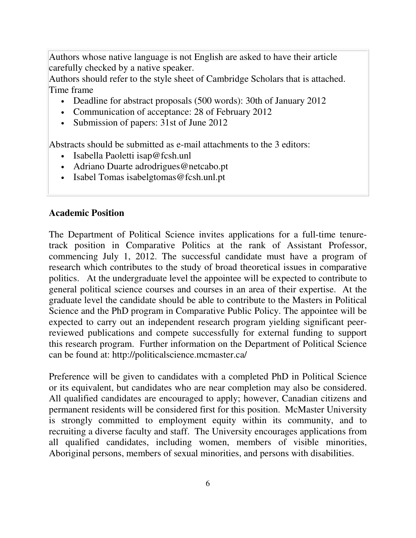Authors whose native language is not English are asked to have their article carefully checked by a native speaker.

Authors should refer to the style sheet of Cambridge Scholars that is attached. Time frame

- Deadline for abstract proposals (500 words): 30th of January 2012
- Communication of acceptance: 28 of February 2012
- Submission of papers: 31st of June 2012

Abstracts should be submitted as e-mail attachments to the 3 editors:

- Isabella Paoletti isap@fcsh.unl
- Adriano Duarte adrodrigues@netcabo.pt
- Isabel Tomas isabelgtomas@fcsh.unl.pt

### **Academic Position**

The Department of Political Science invites applications for a full-time tenuretrack position in Comparative Politics at the rank of Assistant Professor, commencing July 1, 2012. The successful candidate must have a program of research which contributes to the study of broad theoretical issues in comparative politics. At the undergraduate level the appointee will be expected to contribute to general political science courses and courses in an area of their expertise. At the graduate level the candidate should be able to contribute to the Masters in Political Science and the PhD program in Comparative Public Policy. The appointee will be expected to carry out an independent research program yielding significant peerreviewed publications and compete successfully for external funding to support this research program. Further information on the Department of Political Science can be found at: http://politicalscience.mcmaster.ca/

Preference will be given to candidates with a completed PhD in Political Science or its equivalent, but candidates who are near completion may also be considered. All qualified candidates are encouraged to apply; however, Canadian citizens and permanent residents will be considered first for this position. McMaster University is strongly committed to employment equity within its community, and to recruiting a diverse faculty and staff. The University encourages applications from all qualified candidates, including women, members of visible minorities, Aboriginal persons, members of sexual minorities, and persons with disabilities.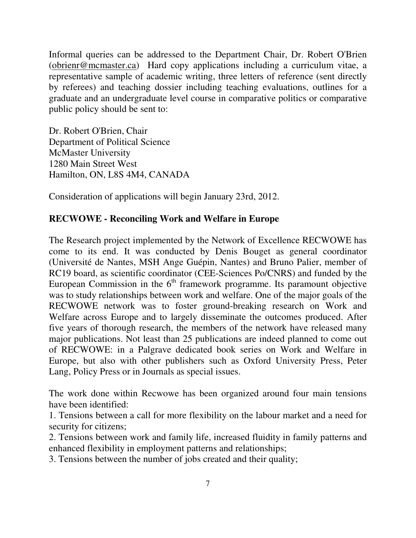Informal queries can be addressed to the Department Chair, Dr. Robert O'Brien (obrienr@mcmaster.ca) Hard copy applications including a curriculum vitae, a representative sample of academic writing, three letters of reference (sent directly by referees) and teaching dossier including teaching evaluations, outlines for a graduate and an undergraduate level course in comparative politics or comparative public policy should be sent to:

Dr. Robert O'Brien, Chair Department of Political Science McMaster University 1280 Main Street West Hamilton, ON, L8S 4M4, CANADA

Consideration of applications will begin January 23rd, 2012.

### **RECWOWE - Reconciling Work and Welfare in Europe**

The Research project implemented by the Network of Excellence RECWOWE has come to its end. It was conducted by Denis Bouget as general coordinator (Université de Nantes, MSH Ange Guépin, Nantes) and Bruno Palier, member of RC19 board, as scientific coordinator (CEE-Sciences Po/CNRS) and funded by the European Commission in the  $6<sup>th</sup>$  framework programme. Its paramount objective was to study relationships between work and welfare. One of the major goals of the RECWOWE network was to foster ground-breaking research on Work and Welfare across Europe and to largely disseminate the outcomes produced. After five years of thorough research, the members of the network have released many major publications. Not least than 25 publications are indeed planned to come out of RECWOWE: in a Palgrave dedicated book series on Work and Welfare in Europe, but also with other publishers such as Oxford University Press, Peter Lang, Policy Press or in Journals as special issues.

The work done within Recwowe has been organized around four main tensions have been identified:

1. Tensions between a call for more flexibility on the labour market and a need for security for citizens;

2. Tensions between work and family life, increased fluidity in family patterns and enhanced flexibility in employment patterns and relationships;

3. Tensions between the number of jobs created and their quality;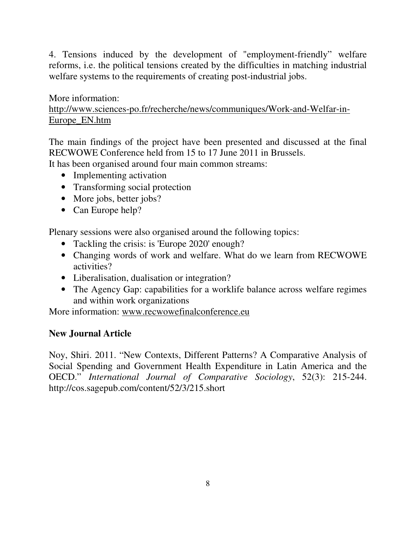4. Tensions induced by the development of "employment-friendly" welfare reforms, i.e. the political tensions created by the difficulties in matching industrial welfare systems to the requirements of creating post-industrial jobs.

More information: http://www.sciences-po.fr/recherche/news/communiques/Work-and-Welfar-in-Europe\_EN.htm

The main findings of the project have been presented and discussed at the final RECWOWE Conference held from 15 to 17 June 2011 in Brussels.

It has been organised around four main common streams:

- Implementing activation
- Transforming social protection
- More jobs, better jobs?
- Can Europe help?

Plenary sessions were also organised around the following topics:

- Tackling the crisis: is 'Europe 2020' enough?
- Changing words of work and welfare. What do we learn from RECWOWE activities?
- Liberalisation, dualisation or integration?
- The Agency Gap: capabilities for a worklife balance across welfare regimes and within work organizations

More information: www.recwowefinalconference.eu

# **New Journal Article**

Noy, Shiri. 2011. "New Contexts, Different Patterns? A Comparative Analysis of Social Spending and Government Health Expenditure in Latin America and the OECD." *International Journal of Comparative Sociology*, 52(3): 215-244. http://cos.sagepub.com/content/52/3/215.short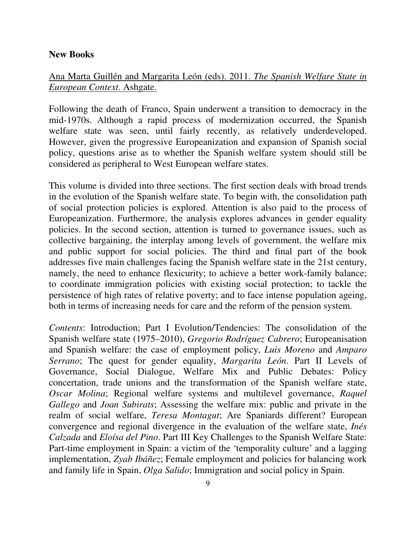#### **New Books**

### Ana Marta Guillén and Margarita León (eds). 2011. *The Spanish Welfare State in European Context*. Ashgate.

Following the death of Franco, Spain underwent a transition to democracy in the mid-1970s. Although a rapid process of modernization occurred, the Spanish welfare state was seen, until fairly recently, as relatively underdeveloped. However, given the progressive Europeanization and expansion of Spanish social policy, questions arise as to whether the Spanish welfare system should still be considered as peripheral to West European welfare states.

This volume is divided into three sections. The first section deals with broad trends in the evolution of the Spanish welfare state. To begin with, the consolidation path of social protection policies is explored. Attention is also paid to the process of Europeanization. Furthermore, the analysis explores advances in gender equality policies. In the second section, attention is turned to governance issues, such as collective bargaining, the interplay among levels of government, the welfare mix and public support for social policies. The third and final part of the book addresses five main challenges facing the Spanish welfare state in the 21st century, namely, the need to enhance flexicurity; to achieve a better work-family balance; to coordinate immigration policies with existing social protection; to tackle the persistence of high rates of relative poverty; and to face intense population ageing, both in terms of increasing needs for care and the reform of the pension system.

*Contents*: Introduction; Part I Evolution/Tendencies: The consolidation of the Spanish welfare state (1975–2010), *Gregorio Rodríguez Cabrero*; Europeanisation and Spanish welfare: the case of employment policy, *Luis Moreno* and *Amparo Serrano*; The quest for gender equality, *Margarita León*. Part II Levels of Governance, Social Dialogue, Welfare Mix and Public Debates: Policy concertation, trade unions and the transformation of the Spanish welfare state, *Oscar Molina*; Regional welfare systems and multilevel governance, *Raquel Gallego* and *Joan Subirats*; Assessing the welfare mix: public and private in the realm of social welfare, *Teresa Montagut*; Are Spaniards different? European convergence and regional divergence in the evaluation of the welfare state, *Inés Calzada* and *Eloísa del Pino*. Part III Key Challenges to the Spanish Welfare State: Part-time employment in Spain: a victim of the 'temporality culture' and a lagging implementation, *Zyab Ibáñez*; Female employment and policies for balancing work and family life in Spain, *Olga Salido*; Immigration and social policy in Spain.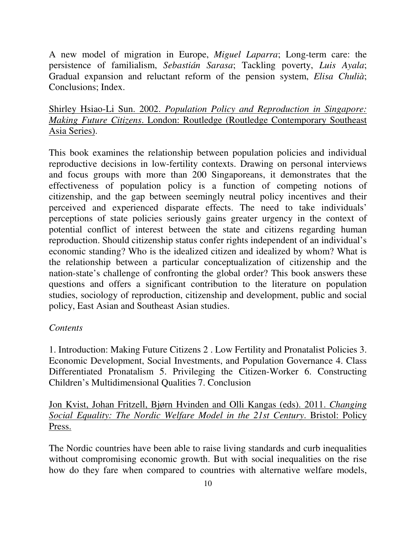A new model of migration in Europe, *Miguel Laparra*; Long-term care: the persistence of familialism, *Sebastián Sarasa*; Tackling poverty, *Luis Ayala*; Gradual expansion and reluctant reform of the pension system, *Elisa Chulià*; Conclusions; Index.

Shirley Hsiao-Li Sun. 2002. *Population Policy and Reproduction in Singapore: Making Future Citizens*. London: Routledge (Routledge Contemporary Southeast Asia Series).

This book examines the relationship between population policies and individual reproductive decisions in low-fertility contexts. Drawing on personal interviews and focus groups with more than 200 Singaporeans, it demonstrates that the effectiveness of population policy is a function of competing notions of citizenship, and the gap between seemingly neutral policy incentives and their perceived and experienced disparate effects. The need to take individuals' perceptions of state policies seriously gains greater urgency in the context of potential conflict of interest between the state and citizens regarding human reproduction. Should citizenship status confer rights independent of an individual's economic standing? Who is the idealized citizen and idealized by whom? What is the relationship between a particular conceptualization of citizenship and the nation-state's challenge of confronting the global order? This book answers these questions and offers a significant contribution to the literature on population studies, sociology of reproduction, citizenship and development, public and social policy, East Asian and Southeast Asian studies.

### *Contents*

1. Introduction: Making Future Citizens 2 . Low Fertility and Pronatalist Policies 3. Economic Development, Social Investments, and Population Governance 4. Class Differentiated Pronatalism 5. Privileging the Citizen-Worker 6. Constructing Children's Multidimensional Qualities 7. Conclusion

Jon Kvist, Johan Fritzell, Bjørn Hvinden and Olli Kangas (eds). 2011. *Changing Social Equality: The Nordic Welfare Model in the 21st Century*. Bristol: Policy Press.

The Nordic countries have been able to raise living standards and curb inequalities without compromising economic growth. But with social inequalities on the rise how do they fare when compared to countries with alternative welfare models,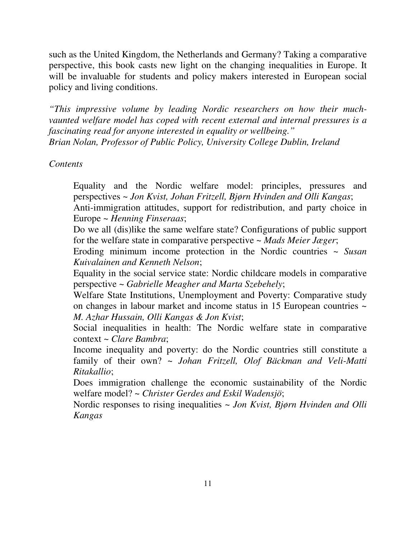such as the United Kingdom, the Netherlands and Germany? Taking a comparative perspective, this book casts new light on the changing inequalities in Europe. It will be invaluable for students and policy makers interested in European social policy and living conditions.

*"This impressive volume by leading Nordic researchers on how their muchvaunted welfare model has coped with recent external and internal pressures is a fascinating read for anyone interested in equality or wellbeing." Brian Nolan, Professor of Public Policy, University College Dublin, Ireland* 

#### *Contents*

Equality and the Nordic welfare model: principles, pressures and perspectives ~ *Jon Kvist, Johan Fritzell, Bjørn Hvinden and Olli Kangas*; Anti-immigration attitudes, support for redistribution, and party choice in

Europe ~ *Henning Finseraas*;

Do we all (dis)like the same welfare state? Configurations of public support for the welfare state in comparative perspective ~ *Mads Meier Jæger*;

Eroding minimum income protection in the Nordic countries ~ *Susan Kuivalainen and Kenneth Nelson*;

Equality in the social service state: Nordic childcare models in comparative perspective ~ *Gabrielle Meagher and Marta Szebehely*;

Welfare State Institutions, Unemployment and Poverty: Comparative study on changes in labour market and income status in 15 European countries ~ *M. Azhar Hussain, Olli Kangas & Jon Kvist*;

Social inequalities in health: The Nordic welfare state in comparative context ~ *Clare Bambra*;

Income inequality and poverty: do the Nordic countries still constitute a family of their own? ~ *Johan Fritzell, Olof Bäckman and Veli-Matti Ritakallio*;

Does immigration challenge the economic sustainability of the Nordic welfare model? ~ *Christer Gerdes and Eskil Wadensjö*;

Nordic responses to rising inequalities ~ *Jon Kvist, Bjørn Hvinden and Olli Kangas*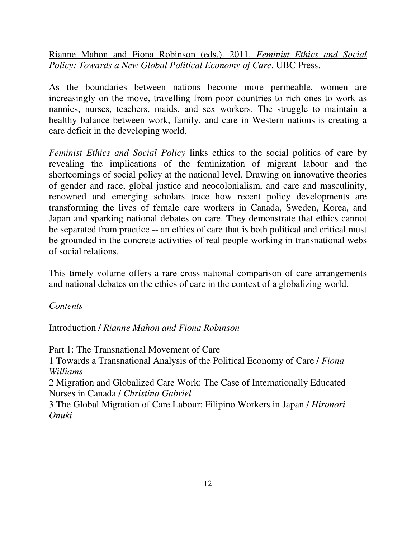Rianne Mahon and Fiona Robinson (eds.). 2011. *Feminist Ethics and Social Policy: Towards a New Global Political Economy of Care*. UBC Press.

As the boundaries between nations become more permeable, women are increasingly on the move, travelling from poor countries to rich ones to work as nannies, nurses, teachers, maids, and sex workers. The struggle to maintain a healthy balance between work, family, and care in Western nations is creating a care deficit in the developing world.

*Feminist Ethics and Social Policy* links ethics to the social politics of care by revealing the implications of the feminization of migrant labour and the shortcomings of social policy at the national level. Drawing on innovative theories of gender and race, global justice and neocolonialism, and care and masculinity, renowned and emerging scholars trace how recent policy developments are transforming the lives of female care workers in Canada, Sweden, Korea, and Japan and sparking national debates on care. They demonstrate that ethics cannot be separated from practice -- an ethics of care that is both political and critical must be grounded in the concrete activities of real people working in transnational webs of social relations.

This timely volume offers a rare cross-national comparison of care arrangements and national debates on the ethics of care in the context of a globalizing world.

*Contents* 

Introduction / *Rianne Mahon and Fiona Robinson*

Part 1: The Transnational Movement of Care

1 Towards a Transnational Analysis of the Political Economy of Care / *Fiona Williams*

2 Migration and Globalized Care Work: The Case of Internationally Educated Nurses in Canada / *Christina Gabriel*

3 The Global Migration of Care Labour: Filipino Workers in Japan / *Hironori Onuki*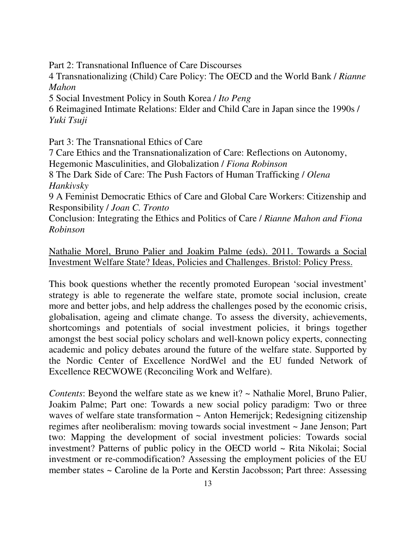Part 2: Transnational Influence of Care Discourses

4 Transnationalizing (Child) Care Policy: The OECD and the World Bank / *Rianne Mahon*

5 Social Investment Policy in South Korea / *Ito Peng*

6 Reimagined Intimate Relations: Elder and Child Care in Japan since the 1990s / *Yuki Tsuji*

Part 3: The Transnational Ethics of Care

7 Care Ethics and the Transnationalization of Care: Reflections on Autonomy, Hegemonic Masculinities, and Globalization / *Fiona Robinson*

8 The Dark Side of Care: The Push Factors of Human Trafficking / *Olena Hankivsky*

9 A Feminist Democratic Ethics of Care and Global Care Workers: Citizenship and Responsibility / *Joan C. Tronto*

Conclusion: Integrating the Ethics and Politics of Care / *Rianne Mahon and Fiona Robinson*

Nathalie Morel, Bruno Palier and Joakim Palme (eds). 2011. Towards a Social Investment Welfare State? Ideas, Policies and Challenges. Bristol: Policy Press.

This book questions whether the recently promoted European 'social investment' strategy is able to regenerate the welfare state, promote social inclusion, create more and better jobs, and help address the challenges posed by the economic crisis, globalisation, ageing and climate change. To assess the diversity, achievements, shortcomings and potentials of social investment policies, it brings together amongst the best social policy scholars and well-known policy experts, connecting academic and policy debates around the future of the welfare state. Supported by the Nordic Center of Excellence NordWel and the EU funded Network of Excellence RECWOWE (Reconciling Work and Welfare).

*Contents*: Beyond the welfare state as we knew it? ~ Nathalie Morel, Bruno Palier, Joakim Palme; Part one: Towards a new social policy paradigm: Two or three waves of welfare state transformation ~ Anton Hemerijck; Redesigning citizenship regimes after neoliberalism: moving towards social investment ~ Jane Jenson; Part two: Mapping the development of social investment policies: Towards social investment? Patterns of public policy in the OECD world ~ Rita Nikolai; Social investment or re-commodification? Assessing the employment policies of the EU member states ~ Caroline de la Porte and Kerstin Jacobsson; Part three: Assessing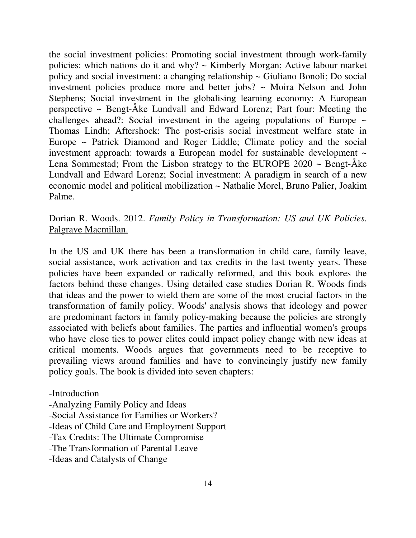the social investment policies: Promoting social investment through work-family policies: which nations do it and why? ~ Kimberly Morgan; Active labour market policy and social investment: a changing relationship ~ Giuliano Bonoli; Do social investment policies produce more and better jobs? ~ Moira Nelson and John Stephens; Social investment in the globalising learning economy: A European perspective  $\sim$  Bengt-Åke Lundvall and Edward Lorenz; Part four: Meeting the challenges ahead?: Social investment in the ageing populations of Europe  $\sim$ Thomas Lindh; Aftershock: The post-crisis social investment welfare state in Europe ~ Patrick Diamond and Roger Liddle; Climate policy and the social investment approach: towards a European model for sustainable development ~ Lena Sommestad; From the Lisbon strategy to the EUROPE 2020 ~ Bengt-Åke Lundvall and Edward Lorenz; Social investment: A paradigm in search of a new economic model and political mobilization ~ Nathalie Morel, Bruno Palier, Joakim Palme.

# Dorian R. Woods. 2012. *Family Policy in Transformation: US and UK Policies*. Palgrave Macmillan.

In the US and UK there has been a transformation in child care, family leave, social assistance, work activation and tax credits in the last twenty years. These policies have been expanded or radically reformed, and this book explores the factors behind these changes. Using detailed case studies Dorian R. Woods finds that ideas and the power to wield them are some of the most crucial factors in the transformation of family policy. Woods' analysis shows that ideology and power are predominant factors in family policy-making because the policies are strongly associated with beliefs about families. The parties and influential women's groups who have close ties to power elites could impact policy change with new ideas at critical moments. Woods argues that governments need to be receptive to prevailing views around families and have to convincingly justify new family policy goals. The book is divided into seven chapters:

- -Introduction
- -Analyzing Family Policy and Ideas
- -Social Assistance for Families or Workers?
- -Ideas of Child Care and Employment Support
- -Tax Credits: The Ultimate Compromise
- -The Transformation of Parental Leave
- -Ideas and Catalysts of Change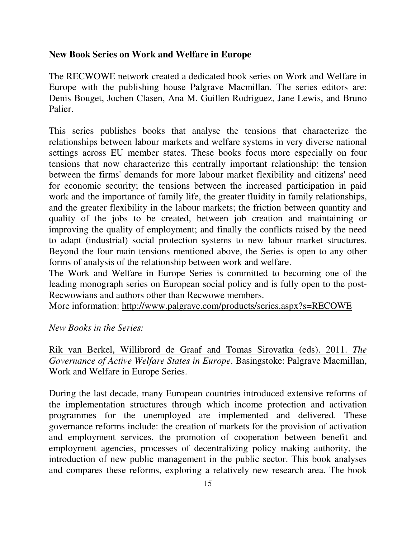#### **New Book Series on Work and Welfare in Europe**

The RECWOWE network created a dedicated book series on Work and Welfare in Europe with the publishing house Palgrave Macmillan. The series editors are: Denis Bouget, Jochen Clasen, Ana M. Guillen Rodriguez, Jane Lewis, and Bruno Palier.

This series publishes books that analyse the tensions that characterize the relationships between labour markets and welfare systems in very diverse national settings across EU member states. These books focus more especially on four tensions that now characterize this centrally important relationship: the tension between the firms' demands for more labour market flexibility and citizens' need for economic security; the tensions between the increased participation in paid work and the importance of family life, the greater fluidity in family relationships, and the greater flexibility in the labour markets; the friction between quantity and quality of the jobs to be created, between job creation and maintaining or improving the quality of employment; and finally the conflicts raised by the need to adapt (industrial) social protection systems to new labour market structures. Beyond the four main tensions mentioned above, the Series is open to any other forms of analysis of the relationship between work and welfare.

The Work and Welfare in Europe Series is committed to becoming one of the leading monograph series on European social policy and is fully open to the post-Recwowians and authors other than Recwowe members.

More information: http://www.palgrave.com/products/series.aspx?s=RECOWE

*New Books in the Series:* 

# Rik van Berkel, Willibrord de Graaf and Tomas Sirovatka (eds). 2011. *The Governance of Active Welfare States in Europe*. Basingstoke: Palgrave Macmillan, Work and Welfare in Europe Series.

During the last decade, many European countries introduced extensive reforms of the implementation structures through which income protection and activation programmes for the unemployed are implemented and delivered. These governance reforms include: the creation of markets for the provision of activation and employment services, the promotion of cooperation between benefit and employment agencies, processes of decentralizing policy making authority, the introduction of new public management in the public sector. This book analyses and compares these reforms, exploring a relatively new research area. The book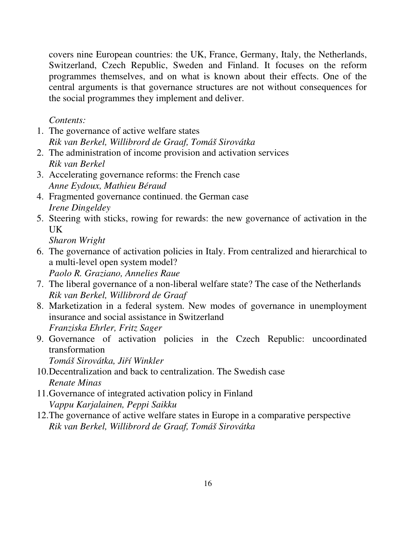covers nine European countries: the UK, France, Germany, Italy, the Netherlands, Switzerland, Czech Republic, Sweden and Finland. It focuses on the reform programmes themselves, and on what is known about their effects. One of the central arguments is that governance structures are not without consequences for the social programmes they implement and deliver.

*Contents:* 

- 1. The governance of active welfare states *Rik van Berkel, Willibrord de Graaf, Tomáš Sirovátka*
- 2. The administration of income provision and activation services *Rik van Berkel*
- 3. Accelerating governance reforms: the French case *Anne Eydoux, Mathieu Béraud*
- 4. Fragmented governance continued. the German case *Irene Dingeldey*
- 5. Steering with sticks, rowing for rewards: the new governance of activation in the UK

*Sharon Wright* 

- 6. The governance of activation policies in Italy. From centralized and hierarchical to a multi-level open system model? *Paolo R. Graziano, Annelies Raue*
- 7. The liberal governance of a non-liberal welfare state? The case of the Netherlands *Rik van Berkel, Willibrord de Graaf*
- 8. Marketization in a federal system. New modes of governance in unemployment insurance and social assistance in Switzerland *Franziska Ehrler, Fritz Sager*
- 9. Governance of activation policies in the Czech Republic: uncoordinated transformation

*Tomáš Sirovátka, Ji*ř*í Winkler* 

- 10.Decentralization and back to centralization. The Swedish case *Renate Minas*
- 11.Governance of integrated activation policy in Finland *Vappu Karjalainen, Peppi Saikku*
- 12.The governance of active welfare states in Europe in a comparative perspective *Rik van Berkel, Willibrord de Graaf, Tomáš Sirovátka*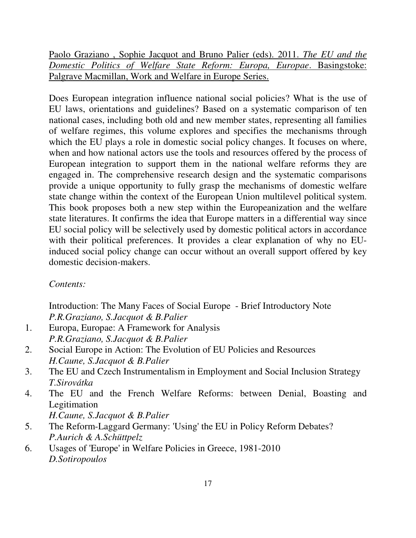Paolo Graziano , Sophie Jacquot and Bruno Palier (eds). 2011. *The EU and the Domestic Politics of Welfare State Reform: Europa, Europae*. Basingstoke: Palgrave Macmillan, Work and Welfare in Europe Series.

Does European integration influence national social policies? What is the use of EU laws, orientations and guidelines? Based on a systematic comparison of ten national cases, including both old and new member states, representing all families of welfare regimes, this volume explores and specifies the mechanisms through which the EU plays a role in domestic social policy changes. It focuses on where, when and how national actors use the tools and resources offered by the process of European integration to support them in the national welfare reforms they are engaged in. The comprehensive research design and the systematic comparisons provide a unique opportunity to fully grasp the mechanisms of domestic welfare state change within the context of the European Union multilevel political system. This book proposes both a new step within the Europeanization and the welfare state literatures. It confirms the idea that Europe matters in a differential way since EU social policy will be selectively used by domestic political actors in accordance with their political preferences. It provides a clear explanation of why no EUinduced social policy change can occur without an overall support offered by key domestic decision-makers.

*Contents:* 

Introduction: The Many Faces of Social Europe - Brief Introductory Note *P.R.Graziano, S.Jacquot & B.Palier* 

- 1. Europa, Europae: A Framework for Analysis *P.R.Graziano, S.Jacquot & B.Palier*
- 2. Social Europe in Action: The Evolution of EU Policies and Resources *H.Caune, S.Jacquot & B.Palier*
- 3. The EU and Czech Instrumentalism in Employment and Social Inclusion Strategy *T.Sirovátka*
- 4. The EU and the French Welfare Reforms: between Denial, Boasting and Legitimation *H.Caune, S.Jacquot & B.Palier*
- 5. The Reform-Laggard Germany: 'Using' the EU in Policy Reform Debates? *P.Aurich & A.Schüttpelz*
- 6. Usages of 'Europe' in Welfare Policies in Greece, 1981-2010 *D.Sotiropoulos*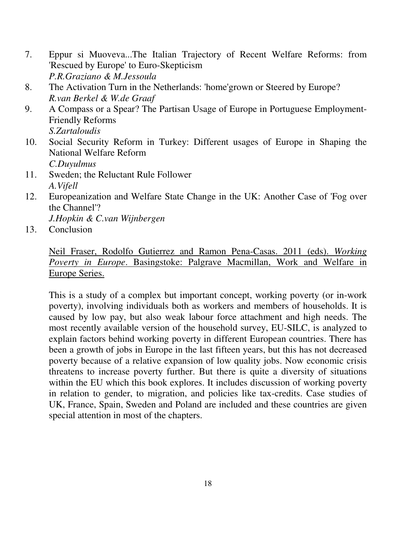- 7. Eppur si Muoveva...The Italian Trajectory of Recent Welfare Reforms: from 'Rescued by Europe' to Euro-Skepticism *P.R.Graziano & M.Jessoula*
- 8. The Activation Turn in the Netherlands: 'home'grown or Steered by Europe? *R.van Berkel & W.de Graaf*
- 9. A Compass or a Spear? The Partisan Usage of Europe in Portuguese Employment-Friendly Reforms *S.Zartaloudis*
- 10. Social Security Reform in Turkey: Different usages of Europe in Shaping the National Welfare Reform *C.Duyulmus*
- 11. Sweden; the Reluctant Rule Follower *A.Vifell*
- 12. Europeanization and Welfare State Change in the UK: Another Case of 'Fog over the Channel'?

*J.Hopkin & C.van Wijnbergen* 

13. Conclusion

Neil Fraser, Rodolfo Gutierrez and Ramon Pena-Casas. 2011 (eds). *Working Poverty in Europe*. Basingstoke: Palgrave Macmillan, Work and Welfare in Europe Series.

This is a study of a complex but important concept, working poverty (or in-work poverty), involving individuals both as workers and members of households. It is caused by low pay, but also weak labour force attachment and high needs. The most recently available version of the household survey, EU-SILC, is analyzed to explain factors behind working poverty in different European countries. There has been a growth of jobs in Europe in the last fifteen years, but this has not decreased poverty because of a relative expansion of low quality jobs. Now economic crisis threatens to increase poverty further. But there is quite a diversity of situations within the EU which this book explores. It includes discussion of working poverty in relation to gender, to migration, and policies like tax-credits. Case studies of UK, France, Spain, Sweden and Poland are included and these countries are given special attention in most of the chapters.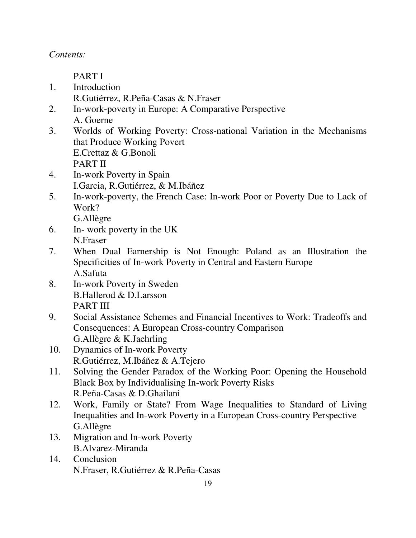*Contents:* 

PART I

- 1. Introduction R.Gutiérrez, R.Peña-Casas & N.Fraser
- 2. In-work-poverty in Europe: A Comparative Perspective A. Goerne
- 3. Worlds of Working Poverty: Cross-national Variation in the Mechanisms that Produce Working Povert E.Crettaz & G.Bonoli PART II
- 4. In-work Poverty in Spain I.Garcia, R.Gutiérrez, & M.Ibáñez
- 5. In-work-poverty, the French Case: In-work Poor or Poverty Due to Lack of Work?

G.Allègre

- 6. In- work poverty in the UK N.Fraser
- 7. When Dual Earnership is Not Enough: Poland as an Illustration the Specificities of In-work Poverty in Central and Eastern Europe A.Safuta
- 8. In-work Poverty in Sweden B.Hallerod & D.Larsson PART III
- 9. Social Assistance Schemes and Financial Incentives to Work: Tradeoffs and Consequences: A European Cross-country Comparison G.Allègre & K.Jaehrling
- 10. Dynamics of In-work Poverty R.Gutiérrez, M.Ibáñez & A.Tejero
- 11. Solving the Gender Paradox of the Working Poor: Opening the Household Black Box by Individualising In-work Poverty Risks R.Peña-Casas & D.Ghailani
- 12. Work, Family or State? From Wage Inequalities to Standard of Living Inequalities and In-work Poverty in a European Cross-country Perspective G.Allègre
- 13. Migration and In-work Poverty B.Alvarez-Miranda
- 14. Conclusion N.Fraser, R.Gutiérrez & R.Peña-Casas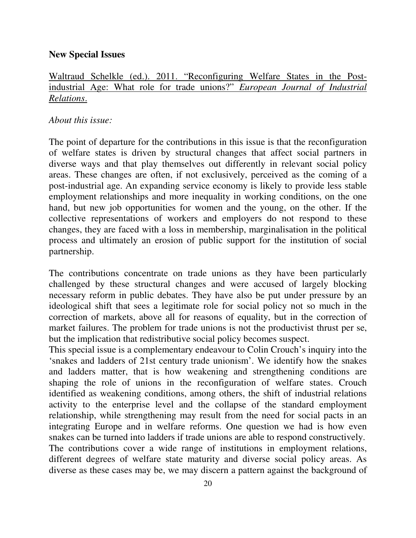#### **New Special Issues**

# Waltraud Schelkle (ed.). 2011. "Reconfiguring Welfare States in the Postindustrial Age: What role for trade unions?" *European Journal of Industrial Relations*.

#### *About this issue:*

The point of departure for the contributions in this issue is that the reconfiguration of welfare states is driven by structural changes that affect social partners in diverse ways and that play themselves out differently in relevant social policy areas. These changes are often, if not exclusively, perceived as the coming of a post-industrial age. An expanding service economy is likely to provide less stable employment relationships and more inequality in working conditions, on the one hand, but new job opportunities for women and the young, on the other. If the collective representations of workers and employers do not respond to these changes, they are faced with a loss in membership, marginalisation in the political process and ultimately an erosion of public support for the institution of social partnership.

The contributions concentrate on trade unions as they have been particularly challenged by these structural changes and were accused of largely blocking necessary reform in public debates. They have also be put under pressure by an ideological shift that sees a legitimate role for social policy not so much in the correction of markets, above all for reasons of equality, but in the correction of market failures. The problem for trade unions is not the productivist thrust per se, but the implication that redistributive social policy becomes suspect.

This special issue is a complementary endeavour to Colin Crouch's inquiry into the 'snakes and ladders of 21st century trade unionism'. We identify how the snakes and ladders matter, that is how weakening and strengthening conditions are shaping the role of unions in the reconfiguration of welfare states. Crouch identified as weakening conditions, among others, the shift of industrial relations activity to the enterprise level and the collapse of the standard employment relationship, while strengthening may result from the need for social pacts in an integrating Europe and in welfare reforms. One question we had is how even snakes can be turned into ladders if trade unions are able to respond constructively. The contributions cover a wide range of institutions in employment relations, different degrees of welfare state maturity and diverse social policy areas. As diverse as these cases may be, we may discern a pattern against the background of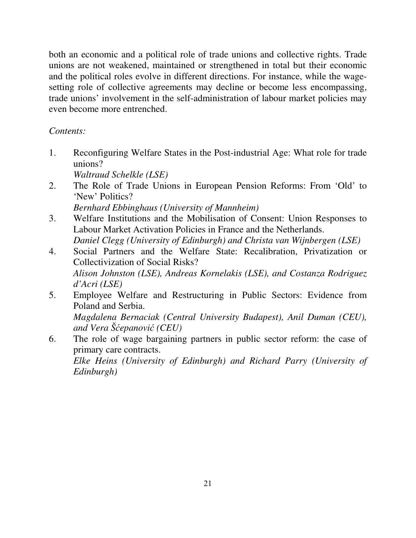both an economic and a political role of trade unions and collective rights. Trade unions are not weakened, maintained or strengthened in total but their economic and the political roles evolve in different directions. For instance, while the wagesetting role of collective agreements may decline or become less encompassing, trade unions' involvement in the self-administration of labour market policies may even become more entrenched.

# *Contents:*

- 1. Reconfiguring Welfare States in the Post-industrial Age: What role for trade unions? *Waltraud Schelkle (LSE)*
- 2. The Role of Trade Unions in European Pension Reforms: From 'Old' to 'New' Politics? *Bernhard Ebbinghaus (University of Mannheim)*
- 3. Welfare Institutions and the Mobilisation of Consent: Union Responses to Labour Market Activation Policies in France and the Netherlands. *Daniel Clegg (University of Edinburgh) and Christa van Wijnbergen (LSE)*
- 4. Social Partners and the Welfare State: Recalibration, Privatization or Collectivization of Social Risks? *Alison Johnston (LSE), Andreas Kornelakis (LSE), and Costanza Rodriguez d'Acri (LSE)*
- 5. Employee Welfare and Restructuring in Public Sectors: Evidence from Poland and Serbia. *Magdalena Bernaciak (Central University Budapest), Anil Duman (CEU), and Vera Š*ć*epanovi*ć *(CEU)*
- 6. The role of wage bargaining partners in public sector reform: the case of primary care contracts. *Elke Heins (University of Edinburgh) and Richard Parry (University of Edinburgh)*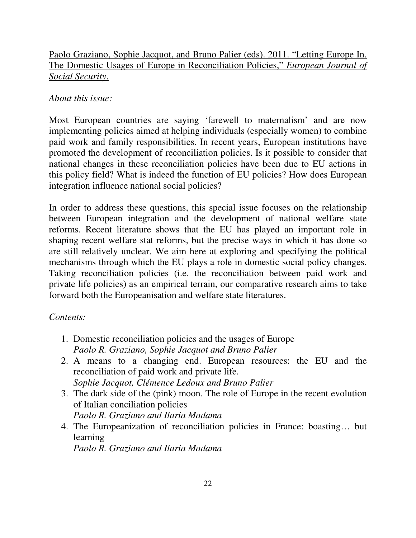Paolo Graziano, Sophie Jacquot, and Bruno Palier (eds). 2011. "Letting Europe In. The Domestic Usages of Europe in Reconciliation Policies," *European Journal of Social Security*.

# *About this issue:*

Most European countries are saying 'farewell to maternalism' and are now implementing policies aimed at helping individuals (especially women) to combine paid work and family responsibilities. In recent years, European institutions have promoted the development of reconciliation policies. Is it possible to consider that national changes in these reconciliation policies have been due to EU actions in this policy field? What is indeed the function of EU policies? How does European integration influence national social policies?

In order to address these questions, this special issue focuses on the relationship between European integration and the development of national welfare state reforms. Recent literature shows that the EU has played an important role in shaping recent welfare stat reforms, but the precise ways in which it has done so are still relatively unclear. We aim here at exploring and specifying the political mechanisms through which the EU plays a role in domestic social policy changes. Taking reconciliation policies (i.e. the reconciliation between paid work and private life policies) as an empirical terrain, our comparative research aims to take forward both the Europeanisation and welfare state literatures.

### *Contents:*

- 1. Domestic reconciliation policies and the usages of Europe *Paolo R. Graziano, Sophie Jacquot and Bruno Palier*
- 2. A means to a changing end. European resources: the EU and the reconciliation of paid work and private life. *Sophie Jacquot, Clémence Ledoux and Bruno Palier*
- 3. The dark side of the (pink) moon. The role of Europe in the recent evolution of Italian conciliation policies *Paolo R. Graziano and Ilaria Madama*
- 4. The Europeanization of reconciliation policies in France: boasting… but learning

*Paolo R. Graziano and Ilaria Madama*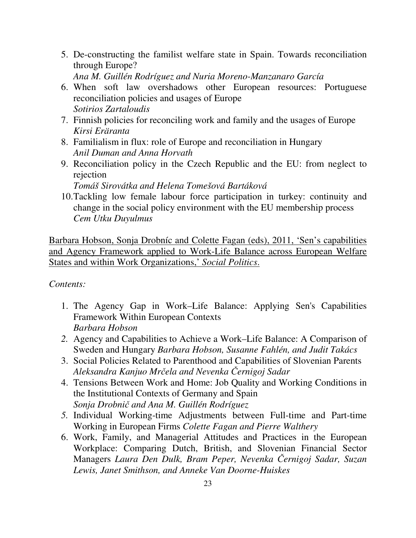5. De-constructing the familist welfare state in Spain. Towards reconciliation through Europe?

*Ana M. Guillén Rodríguez and Nuria Moreno-Manzanaro García* 

- 6. When soft law overshadows other European resources: Portuguese reconciliation policies and usages of Europe *Sotirios Zartaloudis*
- 7. Finnish policies for reconciling work and family and the usages of Europe *Kirsi Eräranta*
- 8. Familialism in flux: role of Europe and reconciliation in Hungary *Anil Duman and Anna Horvath*
- 9. Reconciliation policy in the Czech Republic and the EU: from neglect to rejection

*Tomáš Sirovátka and Helena Tomešová Bartáková* 

10.Tackling low female labour force participation in turkey: continuity and change in the social policy environment with the EU membership process *Cem Utku Duyulmus* 

Barbara Hobson, Sonja Drobníc and Colette Fagan (eds), 2011, 'Sen's capabilities and Agency Framework applied to Work-Life Balance across European Welfare States and within Work Organizations,' *Social Politics*.

*Contents:* 

- 1. The Agency Gap in Work–Life Balance: Applying Sen's Capabilities Framework Within European Contexts *Barbara Hobson*
- *2.* Agency and Capabilities to Achieve a Work–Life Balance: A Comparison of Sweden and Hungary *Barbara Hobson, Susanne Fahlén, and Judit Takács*
- 3. Social Policies Related to Parenthood and Capabilities of Slovenian Parents *Aleksandra Kanjuo Mr*č*ela and Nevenka* Č*ernigoj Sadar*
- 4. Tensions Between Work and Home: Job Quality and Working Conditions in the Institutional Contexts of Germany and Spain *Sonja Drobni*č *and Ana M. Guillén Rodríguez*
- *5.* Individual Working-time Adjustments between Full-time and Part-time Working in European Firms *Colette Fagan and Pierre Walthery*
- 6. Work, Family, and Managerial Attitudes and Practices in the European Workplace: Comparing Dutch, British, and Slovenian Financial Sector Managers *Laura Den Dulk, Bram Peper, Nevenka* Č*ernigoj Sadar, Suzan Lewis, Janet Smithson, and Anneke Van Doorne-Huiskes*